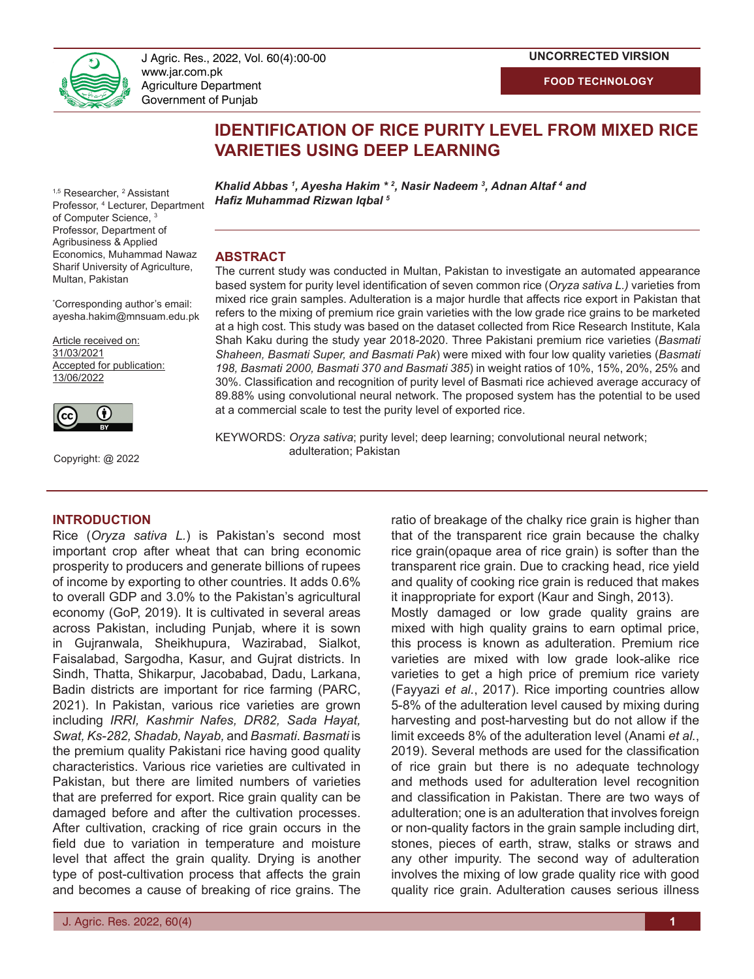

J Agric. Res., 2022, Vol. 60(4):00-00 **and advanced technique of technique control in technique control of technique of technique advanced technique in technique advanced technique in technique in technique advanced techni** www.jar.com.pk Agriculture Department Government of Punjab

### **UNCORRECTED VIRSION**

**FOOD TECHNOLOGY**

# **IDENTIFICATION OF RICE PURITY LEVEL FROM MIXED RICE VARIETIES USING DEEP LEARNING**

<sup>1,5</sup> Researcher, <sup>2</sup> Assistant Professor, 4 Lecturer, Department of Computer Science, 3 Professor, Department of Agribusiness & Applied Economics, Muhammad Nawaz Sharif University of Agriculture, Multan, Pakistan

\* Corresponding author's email: ayesha.hakim@mnsuam.edu.pk

Article received on: 31/03/2021 Accepted for publication: 13/06/2022



Copyright: @ 2022

## **INTRODUCTION**

Rice (*Oryza sativa L.*) is Pakistan's second most important crop after wheat that can bring economic prosperity to producers and generate billions of rupees of income by exporting to other countries. It adds 0.6% to overall GDP and 3.0% to the Pakistan's agricultural economy (GoP, 2019). It is cultivated in several areas across Pakistan, including Punjab, where it is sown in Gujranwala, Sheikhupura, Wazirabad, Sialkot, Faisalabad, Sargodha, Kasur, and Gujrat districts. In Sindh, Thatta, Shikarpur, Jacobabad, Dadu, Larkana, Badin districts are important for rice farming (PARC, 2021). In Pakistan, various rice varieties are grown including *IRRI, Kashmir Nafes, DR82, Sada Hayat, Swat, Ks-282, Shadab, Nayab,* and *Basmati*. *Basmati* is the premium quality Pakistani rice having good quality characteristics. Various rice varieties are cultivated in Pakistan, but there are limited numbers of varieties that are preferred for export. Rice grain quality can be damaged before and after the cultivation processes. After cultivation, cracking of rice grain occurs in the field due to variation in temperature and moisture level that affect the grain quality. Drying is another type of post-cultivation process that affects the grain and becomes a cause of breaking of rice grains. The

*Khalid Abbas <sup>1</sup> , Ayesha Hakim \* <sup>2</sup> , Nasir Nadeem <sup>3</sup> , Adnan Altaf <sup>4</sup> and Hafiz Muhammad Rizwan Iqbal <sup>5</sup>*

#### **ABSTRACT**

The current study was conducted in Multan, Pakistan to investigate an automated appearance based system for purity level identification of seven common rice (*Oryza sativa L.)* varieties from mixed rice grain samples. Adulteration is a major hurdle that affects rice export in Pakistan that refers to the mixing of premium rice grain varieties with the low grade rice grains to be marketed at a high cost. This study was based on the dataset collected from Rice Research Institute, Kala Shah Kaku during the study year 2018-2020. Three Pakistani premium rice varieties (*Basmati Shaheen, Basmati Super, and Basmati Pak*) were mixed with four low quality varieties (*Basmati 198, Basmati 2000, Basmati 370 and Basmati 385*) in weight ratios of 10%, 15%, 20%, 25% and 30%. Classification and recognition of purity level of Basmati rice achieved average accuracy of 89.88% using convolutional neural network. The proposed system has the potential to be used at a commercial scale to test the purity level of exported rice.

KEYWORDS: *Oryza sativa*; purity level; deep learning; convolutional neural network; adulteration; Pakistan

> ratio of breakage of the chalky rice grain is higher than that of the transparent rice grain because the chalky rice grain(opaque area of rice grain) is softer than the transparent rice grain. Due to cracking head, rice yield and quality of cooking rice grain is reduced that makes it inappropriate for export (Kaur and Singh, 2013).

> Mostly damaged or low grade quality grains are mixed with high quality grains to earn optimal price, this process is known as adulteration. Premium rice varieties are mixed with low grade look-alike rice varieties to get a high price of premium rice variety (Fayyazi *et al.*, 2017). Rice importing countries allow 5-8% of the adulteration level caused by mixing during harvesting and post-harvesting but do not allow if the limit exceeds 8% of the adulteration level (Anami *et al.*, 2019). Several methods are used for the classification of rice grain but there is no adequate technology and methods used for adulteration level recognition and classification in Pakistan. There are two ways of adulteration; one is an adulteration that involves foreign or non-quality factors in the grain sample including dirt, stones, pieces of earth, straw, stalks or straws and any other impurity. The second way of adulteration involves the mixing of low grade quality rice with good quality rice grain. Adulteration causes serious illness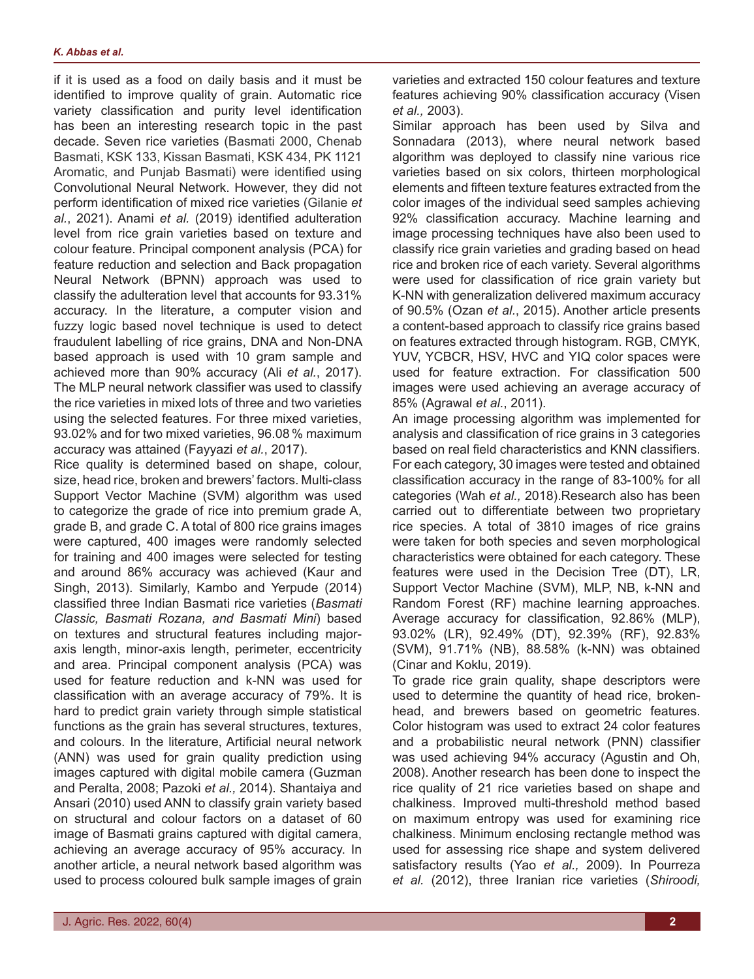if it is used as a food on daily basis and it must be identified to improve quality of grain. Automatic rice variety classification and purity level identification has been an interesting research topic in the past decade. Seven rice varieties (Basmati 2000, Chenab Basmati, KSK 133, Kissan Basmati, KSK 434, PK 1121 Aromatic, and Punjab Basmati) were identified using Convolutional Neural Network. However, they did not perform identification of mixed rice varieties (Gilanie *et al.*, 2021). Anami *et al.* (2019) identified adulteration level from rice grain varieties based on texture and colour feature. Principal component analysis (PCA) for feature reduction and selection and Back propagation Neural Network (BPNN) approach was used to classify the adulteration level that accounts for 93.31% accuracy. In the literature, a computer vision and fuzzy logic based novel technique is used to detect fraudulent labelling of rice grains, DNA and Non-DNA based approach is used with 10 gram sample and achieved more than 90% accuracy (Ali *et al.*, 2017). The MLP neural network classifier was used to classify the rice varieties in mixed lots of three and two varieties using the selected features. For three mixed varieties, 93.02% and for two mixed varieties, 96.08 % maximum accuracy was attained (Fayyazi *et al.*, 2017).

Rice quality is determined based on shape, colour, size, head rice, broken and brewers' factors. Multi-class Support Vector Machine (SVM) algorithm was used to categorize the grade of rice into premium grade A, grade B, and grade C. A total of 800 rice grains images were captured, 400 images were randomly selected for training and 400 images were selected for testing and around 86% accuracy was achieved (Kaur and Singh, 2013). Similarly, Kambo and Yerpude (2014) classified three Indian Basmati rice varieties (*Basmati Classic, Basmati Rozana, and Basmati Mini*) based on textures and structural features including majoraxis length, minor-axis length, perimeter, eccentricity and area. Principal component analysis (PCA) was used for feature reduction and k-NN was used for classification with an average accuracy of 79%. It is hard to predict grain variety through simple statistical functions as the grain has several structures, textures, and colours. In the literature, Artificial neural network (ANN) was used for grain quality prediction using images captured with digital mobile camera (Guzman and Peralta, 2008; Pazoki *et al.,* 2014). Shantaiya and Ansari (2010) used ANN to classify grain variety based on structural and colour factors on a dataset of 60 image of Basmati grains captured with digital camera, achieving an average accuracy of 95% accuracy. In another article, a neural network based algorithm was used to process coloured bulk sample images of grain

varieties and extracted 150 colour features and texture features achieving 90% classification accuracy (Visen *et al.,* 2003).

Similar approach has been used by Silva and Sonnadara (2013), where neural network based algorithm was deployed to classify nine various rice varieties based on six colors, thirteen morphological elements and fifteen texture features extracted from the color images of the individual seed samples achieving 92% classification accuracy. Machine learning and image processing techniques have also been used to classify rice grain varieties and grading based on head rice and broken rice of each variety. Several algorithms were used for classification of rice grain variety but K-NN with generalization delivered maximum accuracy of 90.5% (Ozan *et al.*, 2015). Another article presents a content-based approach to classify rice grains based on features extracted through histogram. RGB, CMYK, YUV, YCBCR, HSV, HVC and YIQ color spaces were used for feature extraction. For classification 500 images were used achieving an average accuracy of 85% (Agrawal *et al.*, 2011).

An image processing algorithm was implemented for analysis and classification of rice grains in 3 categories based on real field characteristics and KNN classifiers. For each category, 30 images were tested and obtained classification accuracy in the range of 83-100% for all categories (Wah *et al.,* 2018).Research also has been carried out to differentiate between two proprietary rice species. A total of 3810 images of rice grains were taken for both species and seven morphological characteristics were obtained for each category. These features were used in the Decision Tree (DT), LR, Support Vector Machine (SVM), MLP, NB, k-NN and Random Forest (RF) machine learning approaches. Average accuracy for classification, 92.86% (MLP), 93.02% (LR), 92.49% (DT), 92.39% (RF), 92.83% (SVM), 91.71% (NB), 88.58% (k-NN) was obtained (Cinar and Koklu, 2019).

To grade rice grain quality, shape descriptors were used to determine the quantity of head rice, brokenhead, and brewers based on geometric features. Color histogram was used to extract 24 color features and a probabilistic neural network (PNN) classifier was used achieving 94% accuracy (Agustin and Oh, 2008). Another research has been done to inspect the rice quality of 21 rice varieties based on shape and chalkiness. Improved multi-threshold method based on maximum entropy was used for examining rice chalkiness. Minimum enclosing rectangle method was used for assessing rice shape and system delivered satisfactory results (Yao *et al.,* 2009). In Pourreza *et al.* (2012), three Iranian rice varieties (*Shiroodi,*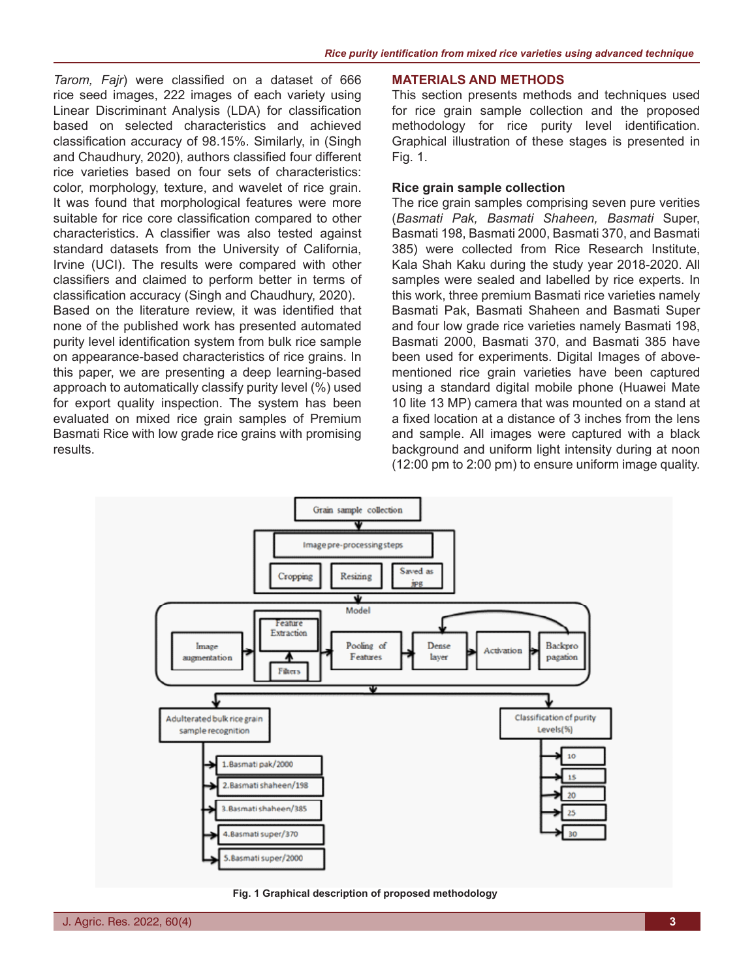*Tarom, Fajr*) were classified on a dataset of 666 rice seed images, 222 images of each variety using Linear Discriminant Analysis (LDA) for classification based on selected characteristics and achieved classification accuracy of 98.15%. Similarly, in (Singh and Chaudhury, 2020), authors classified four different rice varieties based on four sets of characteristics: color, morphology, texture, and wavelet of rice grain. It was found that morphological features were more suitable for rice core classification compared to other characteristics. A classifier was also tested against standard datasets from the University of California, Irvine (UCI). The results were compared with other classifiers and claimed to perform better in terms of classification accuracy (Singh and Chaudhury, 2020).

Based on the literature review, it was identified that none of the published work has presented automated purity level identification system from bulk rice sample on appearance-based characteristics of rice grains. In this paper, we are presenting a deep learning-based approach to automatically classify purity level (%) used for export quality inspection. The system has been evaluated on mixed rice grain samples of Premium Basmati Rice with low grade rice grains with promising results.

#### **MATERIALS AND METHODS**

This section presents methods and techniques used for rice grain sample collection and the proposed methodology for rice purity level identification. Graphical illustration of these stages is presented in Fig. 1.

## **Rice grain sample collection**

The rice grain samples comprising seven pure verities (*Basmati Pak, Basmati Shaheen, Basmati* Super, Basmati 198, Basmati 2000, Basmati 370, and Basmati 385) were collected from Rice Research Institute, Kala Shah Kaku during the study year 2018-2020. All samples were sealed and labelled by rice experts. In this work, three premium Basmati rice varieties namely Basmati Pak, Basmati Shaheen and Basmati Super and four low grade rice varieties namely Basmati 198, Basmati 2000, Basmati 370, and Basmati 385 have been used for experiments. Digital Images of abovementioned rice grain varieties have been captured using a standard digital mobile phone (Huawei Mate 10 lite 13 MP) camera that was mounted on a stand at a fixed location at a distance of 3 inches from the lens and sample. All images were captured with a black background and uniform light intensity during at noon (12:00 pm to 2:00 pm) to ensure uniform image quality.



**Fig. 1 Graphical description of proposed methodology**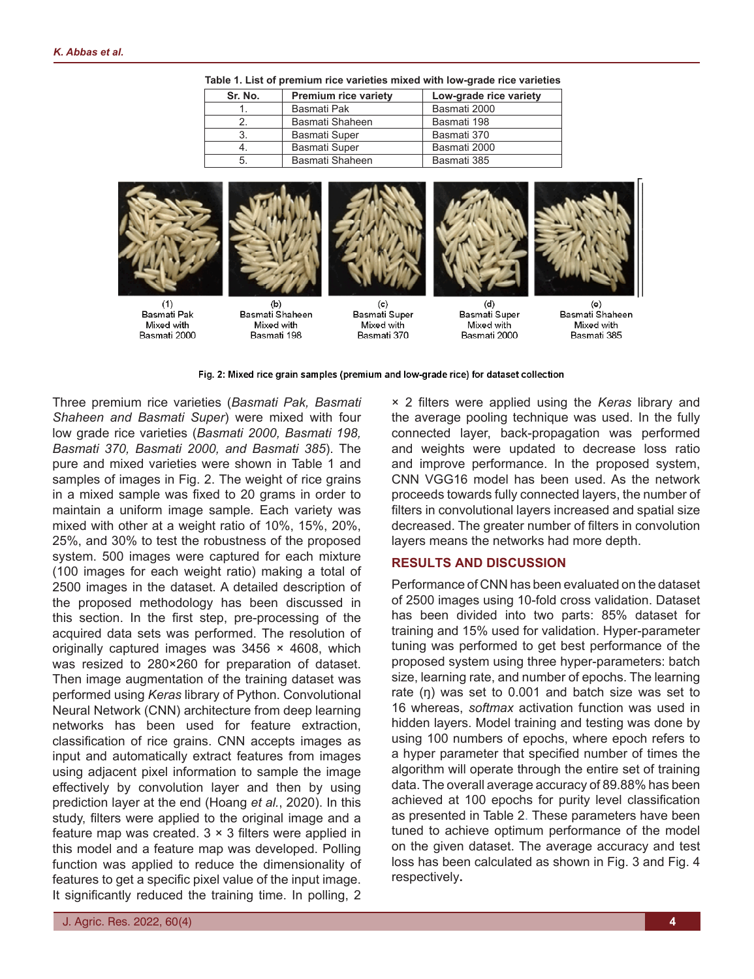| Sr. No. | <b>Premium rice variety</b> | Low-grade rice variety |
|---------|-----------------------------|------------------------|
|         | Basmati Pak                 | Basmati 2000           |
|         | Basmati Shaheen             | Basmati 198            |
| 3.      | <b>Basmati Super</b>        | Basmati 370            |
|         | <b>Basmati Super</b>        | Basmati 2000           |
| 5.      | Basmati Shaheen             | Basmati 385            |

**Table 1. List of premium rice varieties mixed with low-grade rice varieties**







 $(b)$ Basmati Shaheen Mixed with Rasmati 198



 $(c)$ Basmati Super Mixed with Basmati 370



 $(d)$ Basmati Super Mixed with Basmati 2000



 $(e)$ Basmati Shaheen Mived with Basmati 385

#### Fig. 2: Mixed rice grain samples (premium and low-grade rice) for dataset collection

Three premium rice varieties (*Basmati Pak, Basmati Shaheen and Basmati Super*) were mixed with four low grade rice varieties (*Basmati 2000, Basmati 198, Basmati 370, Basmati 2000, and Basmati 385*). The pure and mixed varieties were shown in Table 1 and samples of images in Fig. 2. The weight of rice grains in a mixed sample was fixed to 20 grams in order to maintain a uniform image sample. Each variety was mixed with other at a weight ratio of 10%, 15%, 20%, 25%, and 30% to test the robustness of the proposed system. 500 images were captured for each mixture (100 images for each weight ratio) making a total of 2500 images in the dataset. A detailed description of the proposed methodology has been discussed in this section. In the first step, pre-processing of the acquired data sets was performed. The resolution of originally captured images was  $3456 \times 4608$ , which was resized to 280×260 for preparation of dataset. Then image augmentation of the training dataset was performed using *Keras* library of Python. Convolutional Neural Network (CNN) architecture from deep learning networks has been used for feature extraction, classification of rice grains. CNN accepts images as input and automatically extract features from images using adjacent pixel information to sample the image effectively by convolution layer and then by using prediction layer at the end (Hoang *et al.*, 2020). In this study, filters were applied to the original image and a feature map was created.  $3 \times 3$  filters were applied in this model and a feature map was developed. Polling function was applied to reduce the dimensionality of features to get a specific pixel value of the input image. It significantly reduced the training time. In polling, 2

× 2 filters were applied using the *Keras* library and the average pooling technique was used. In the fully connected layer, back-propagation was performed and weights were updated to decrease loss ratio and improve performance. In the proposed system, CNN VGG16 model has been used. As the network proceeds towards fully connected layers, the number of filters in convolutional layers increased and spatial size decreased. The greater number of filters in convolution layers means the networks had more depth.

### **RESULTS AND DISCUSSION**

Performance of CNN has been evaluated on the dataset of 2500 images using 10-fold cross validation. Dataset has been divided into two parts: 85% dataset for training and 15% used for validation. Hyper-parameter tuning was performed to get best performance of the proposed system using three hyper-parameters: batch size, learning rate, and number of epochs. The learning rate (ŋ) was set to 0.001 and batch size was set to 16 whereas, *softmax* activation function was used in hidden layers. Model training and testing was done by using 100 numbers of epochs, where epoch refers to a hyper parameter that specified number of times the algorithm will operate through the entire set of training data. The overall average accuracy of 89.88% has been achieved at 100 epochs for purity level classification as presented in Table 2. These parameters have been tuned to achieve optimum performance of the model on the given dataset. The average accuracy and test loss has been calculated as shown in Fig. 3 and Fig. 4 respectively**.**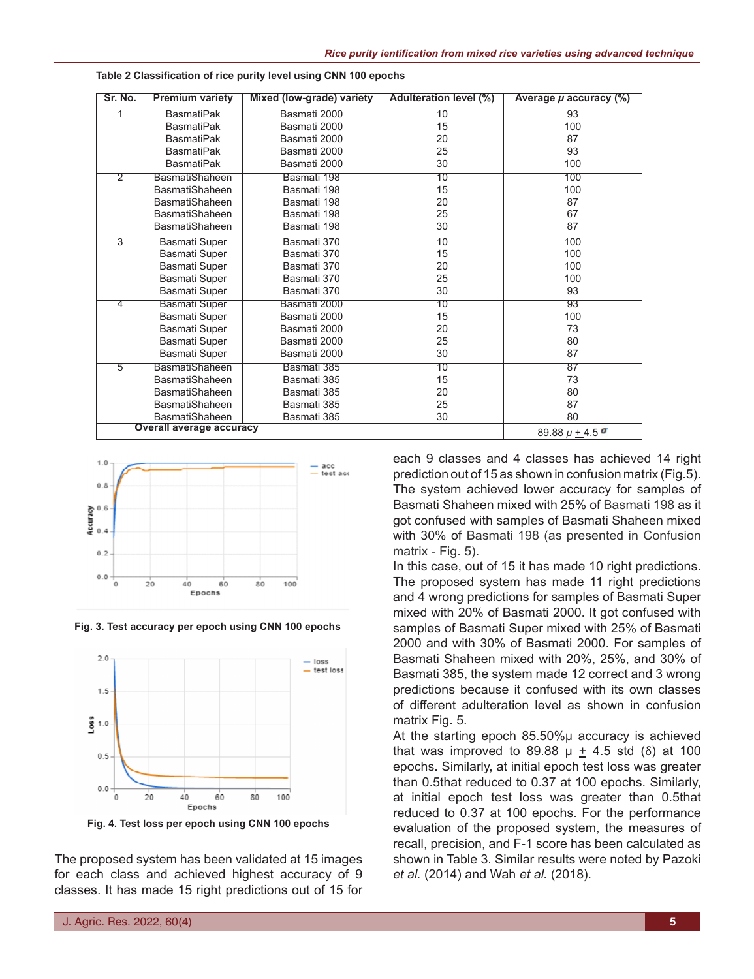| Sr. No.        | <b>Premium variety</b>          | Mixed (low-grade) variety  | <b>Adulteration level (%)</b> | Average $\mu$ accuracy $(\%)$ |
|----------------|---------------------------------|----------------------------|-------------------------------|-------------------------------|
|                | <b>BasmatiPak</b>               | Basmati 2000               | 10                            | 93                            |
|                | <b>BasmatiPak</b>               | Basmati 2000               | 15                            | 100                           |
|                | <b>BasmatiPak</b>               | Basmati 2000               | 20                            | 87                            |
|                | <b>BasmatiPak</b>               | Basmati 2000               | 25                            | 93                            |
|                | <b>BasmatiPak</b>               | Basmati 2000               | 30                            | 100                           |
| $\overline{2}$ | <b>BasmatiShaheen</b>           | Basmati 198                | 10                            | 100                           |
|                | <b>BasmatiShaheen</b>           | Basmati 198                | 15                            | 100                           |
|                | <b>BasmatiShaheen</b>           | Basmati 198                | 20                            | 87                            |
|                | <b>BasmatiShaheen</b>           | Basmati 198                | 25                            | 67                            |
|                | <b>BasmatiShaheen</b>           | Basmati 198                | 30                            | 87                            |
| $\overline{3}$ | <b>Basmati Super</b>            | Basmati 370                | 10                            | 100                           |
|                | Basmati Super                   | Basmati 370                | 15                            | 100                           |
|                | Basmati Super                   | Basmati 370                | 20                            | 100                           |
|                | Basmati Super                   | Basmati 370                | 25                            | 100                           |
|                | Basmati Super                   | Basmati 370                | 30                            | 93                            |
| 4              | <b>Basmati Super</b>            | Basmati 2000               | 10                            | 93                            |
|                | Basmati Super                   | Basmati 2000               | 15                            | 100                           |
|                | Basmati Super                   | Basmati 2000               | 20                            | 73                            |
|                | Basmati Super                   | Basmati 2000               | 25                            | 80                            |
|                | Basmati Super                   | Basmati 2000               | 30                            | 87                            |
| 5              | <b>BasmatiShaheen</b>           | Basmati 385                | 10                            | 87                            |
|                | <b>BasmatiShaheen</b>           | Basmati 385                | 15                            | 73                            |
|                | <b>BasmatiShaheen</b>           | Basmati 385                | 20                            | 80                            |
|                | <b>BasmatiShaheen</b>           | Basmati 385                | 25                            | 87                            |
|                | <b>BasmatiShaheen</b>           | Basmati 385                | 30                            | 80                            |
|                | <b>Overall average accuracy</b> | 89.88 $\mu$ + 4.5 $\sigma$ |                               |                               |

**Table 2 Classification of rice purity level using CNN 100 epochs**



**Fig. 3. Test accuracy per epoch using CNN 100 epochs**



The proposed system has been validated at 15 images for each class and achieved highest accuracy of 9 classes. It has made 15 right predictions out of 15 for each 9 classes and 4 classes has achieved 14 right prediction out of 15 as shown in confusion matrix (Fig.5). The system achieved lower accuracy for samples of Basmati Shaheen mixed with 25% of Basmati 198 as it got confused with samples of Basmati Shaheen mixed with 30% of Basmati 198 (as presented in Confusion matrix - Fig. 5).

In this case, out of 15 it has made 10 right predictions. The proposed system has made 11 right predictions and 4 wrong predictions for samples of Basmati Super mixed with 20% of Basmati 2000. It got confused with samples of Basmati Super mixed with 25% of Basmati 2000 and with 30% of Basmati 2000. For samples of Basmati Shaheen mixed with 20%, 25%, and 30% of Basmati 385, the system made 12 correct and 3 wrong predictions because it confused with its own classes of different adulteration level as shown in confusion matrix Fig. 5.

At the starting epoch 85.50%µ accuracy is achieved that was improved to 89.88  $\mu$  + 4.5 std ( $\delta$ ) at 100 epochs. Similarly, at initial epoch test loss was greater than 0.5that reduced to 0.37 at 100 epochs. Similarly, at initial epoch test loss was greater than 0.5that reduced to 0.37 at 100 epochs. For the performance evaluation of the proposed system, the measures of recall, precision, and F-1 score has been calculated as shown in Table 3. Similar results were noted by Pazoki *et al.* (2014) and Wah *et al.* (2018).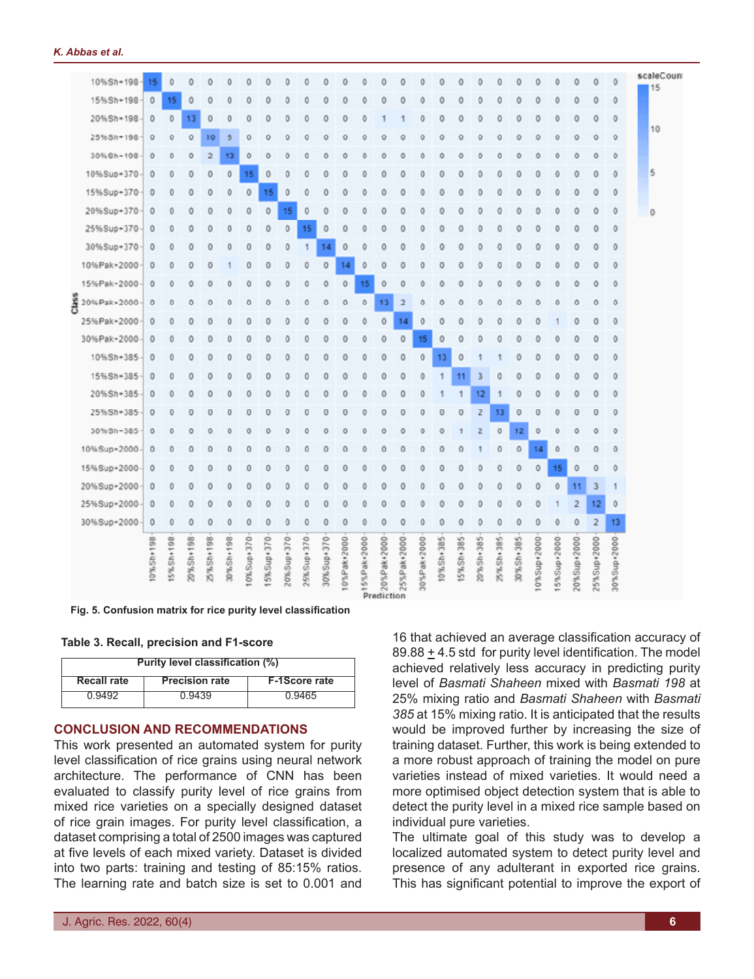| 10%Sh+198-           | 15        | $\circ$           | 0         | $\circ$         | $\circ$   | 0         | 0         | $\circ$         | 0             | 0          | 0               | 0              | 0                         | 0                  | $\circ$           | $\circ$     | 0         | $\bf{0}$       | $\theta$  | 0                   | $\mathbf{0}$ | $\mathbf{0}$ | $\circ$        | $\circ$        | $\circ$             | scaleCount<br>15 |
|----------------------|-----------|-------------------|-----------|-----------------|-----------|-----------|-----------|-----------------|---------------|------------|-----------------|----------------|---------------------------|--------------------|-------------------|-------------|-----------|----------------|-----------|---------------------|--------------|--------------|----------------|----------------|---------------------|------------------|
| 15%Sh+198            | $\circ$   | 15                | 0         | 0               | ٥         | ٥         | o         | 0               | 0             | 0          | 0               | ٥              | ٥                         | Ω                  | ٥                 | 0           | Ō         | O              | o         | ٥                   | 0            | 0            | 0              | 0              | 0                   |                  |
| 20%Sh+198            | $\circ$   | $\mathbf{0}$      | 13        | $\circ$         | $\circ$   | 0         | 0         | $\Omega$        | ٥             | 0          | 0               | ٥              |                           |                    | 0                 | 0           | 0         | $\Omega$       | $\Omega$  | 0                   | 0            | $\Omega$     | $\circ$        | $\circ$        | $\mathbf{0}$        |                  |
| 25%Sh+198            | $\circ$   | 0                 | 0         | 10              | 5         | 0         | 0         | 0               | 0             | 0          | 0               | 0              | Ō                         | Ō                  | 0                 | 0           | 0         | 0              | 0         | 0                   | 0            | $\circ$      | 0              | 0              | 0                   | 10               |
| 30%Sh+198            | $\circ$   | Ō                 | Ō         | $\overline{2}$  | 13        | Ō         | n         | ٥               | Ō             | Ō          | O               | Ō              | n                         | n                  | Ō                 | Ō           | Õ         | Λ              | n         | n                   | Ō            | Ō            | $\circ$        | Ō              | Ō                   |                  |
| 10%Sup+370           | $\circ$   | $\circ$           | 0         | 0               | $\circ$   | 15        | $\circ$   | 0               | 0             | 0          | 0               | 0              | 0                         | 0                  | 0                 | $\circ$     | 0         | 0              | 0         | 0                   | $\mathbf 0$  | $\mathbf{0}$ | $\mathbf 0$    | $\circ$        | $\circ$             | 5                |
| 15%Sup+370           | $\circ$   | 0                 | $\circ$   | 0               | 0         | 0         | 15        | 0               | Ō             | ٥          | 0               | Ō              | ٥                         | Ō                  | 0                 | 0           | Ō         | Ō              | $\theta$  | Ō                   | $\Omega$     | $\Omega$     | $\theta$       | 0              | 0                   |                  |
| 20%Sup+370           | $\circ$   | 0                 | $\circ$   | 0               | 0         | 0         | 0         | 15              | 0             | 0          | 0               | ٥              | 0                         | 0                  | 0                 | 0           | 0         | 0              | 0         | 0                   | 0            | $\mathbf{0}$ | 0              | 0              | 0                   | 0                |
| 25%Sup+370           | $\circ$   | 0                 | $\circ$   | $\circ$         | 0         | 0         | 0         | $\circ$         | 15            | 0          | 0               | ٥              | 0                         | ٥                  | $\mathbf 0$       | 0           | 0         | 0              | 0         | 0                   | 0            | $\mathbf 0$  | $\circ$        | 0              | 0                   |                  |
| 30%Sup+370           | $\circ$   | 0                 | 0         | 0               | 0         | 0         | 0         | 0               | 1             | 14         | 0               | Ō              | Ω                         | Ō                  | $\Omega$          | O           | 0         | 0              | 0         | Ō                   | 0            | 0            | $\Omega$       | Ō              | 0                   |                  |
| 10%Pak+2000          | $\circ$   | $\circ$           | 0         | $\circ$         |           | 0         | 0         | $\circ$         | 0             | $\theta$   | 14              | $\circ$        | $\mathbf{0}$              | 0                  | $\circ$           | $\circ$     | 0         | $\mathbf{0}$   | 0         | 0                   | $\circ$      | $\circ$      | $\circ$        | $\circ$        | $\theta$            |                  |
| 15%Pak+2000          | $\circ$   | ٥                 | o         | 0               | ٥         | Ō         |           | ٥               | ٥             | 0          | 0               | 15             | 0                         | Ō                  |                   | 0           | ο         | O              | O         |                     | 0            | 0            | $\circ$        | 0              | 0                   |                  |
| Class<br>20%Pak+2000 | $\circ$   | $\ddot{\text{o}}$ | $\circ$   | $\ddot{\rm{o}}$ | Õ         | Ō         | 0         | $\ddot{\rm{o}}$ | Ō             | Ō          | $\ddot{\rm{o}}$ | $\circ$        | 13                        | $\overline{2}$     | $\ddot{\text{o}}$ | 0           | Ō         | $\Omega$       | $\Omega$  | $\Omega$            | $\Omega$     | $\Omega$     | $\theta$       | $\circ$        | $\ddot{\rm{o}}$     |                  |
| 25%Pak+2000          | $\circ$   | 0                 | $\circ$   | 0               | 0         | 0         | 0         | 0               | 0             | 0          | 0               | 0              | 0                         | 14                 | 0                 | 0           | 0         | $\mathbf{0}$   | 0         | 0                   | 0            |              | 0              | 0              | 0                   |                  |
| 30%Pak+2000          | $\circ$   | Ō                 | Ō         | ٥               | ٥         | Ō         |           | ٥               | ٥             | O          | $\Omega$        | Ō              | Ō                         | 0                  | 15                | $\theta$    | Ō         |                |           |                     |              | 0            | Δ              | O              | 0                   |                  |
| 10%Sh+385            | $\circ$   | $\circ$           | $\circ$   | $\circ$         | 0         | 0         | 0         | 0               | 0             | 0          | 0               | 0              | 0                         | 0                  | $\ddot{\text{o}}$ | 13          | 0         |                |           | 0                   | 0            | $\mathbf 0$  | $\circ$        | $\circ$        | 0                   |                  |
| 15%Sh+385            | $\circ$   | Ō                 | 0         | 0               | 0         | 0         | 0         | 0               | Ō             | 0          | 0               | 0              | ٥                         | 0                  | 0                 | 1           | 11        | 3              | $\Omega$  | Ō                   | 0            | $\circ$      | 0              | 0              | 0                   |                  |
| 20%Sh+385            | $\circ$   | 0                 | 0         | 0               | 0         | 0         | 0         | 0               | 0             | 0          | 0               | 0              | ٥                         | Ō                  | 0                 |             |           | 12             |           | 0                   | 0            | $\theta$     | 0              | 0              | 0                   |                  |
| 25%Sh+385-           | $\circ$   | $\circ$           | 0         | $\circ$         | $\circ$   | 0         | $\Omega$  | 0               | 0             | $\circ$    | 0               | 0              | 0                         | 0                  | 0                 | $\circ$     | 0         | $\overline{2}$ | 13        | $\bf{0}$            | $\theta$     | $\Omega$     | $\circ$        | $\circ$        | 0                   |                  |
| 30%Sh+385            | $\circ$   | 0                 | 0         | 0               | ٥         | ٥         | O         | 0               | ٥             | O          | 0               | ٥              | ٥                         | ٥                  | $\circ$           | 0           |           | 2              | $\circ$   | 12                  | $\circ$      | 0            | ٥              | $\circ$        | 0                   |                  |
| 10%Sup+2000          | $\theta$  | $\circ$           | $\circ$   | $\Omega$        | $\circ$   | Ŏ         | $\circ$   | $\circ$         | Ō             | 0          | 0               | 0              | 0                         | 0                  | $\circ$           | 0           | Ō         |                | $\theta$  | $\ddot{\mathbf{0}}$ | 14           | $\theta$     | $\circ$        | $\circ$        | $\ddot{\mathbf{0}}$ |                  |
| 15%Sup+2000          | $\circ$   | 0                 | 0         | 0               | 0         | 0         | 0         | 0               | ٥             | 0          | 0               | ٥              | 0                         | 0                  | 0                 | 0           | 0         | $\circ$        | 0         | 0                   | $\circ$      | 15           | $\circ$        | 0              | 0                   |                  |
| 20%Sup+2000          | $\circ$   | $\circ$           | Ō         | $\circ$         | 0         | 0         | 0         | 0               | Ō             | 0          | 0               | ٥              | ٥                         | 0                  | 0                 | $\mathbf 0$ | 0         | 0              | 0         | 0                   | 0            | $\mathbf 0$  | 11             | 3              | 1                   |                  |
| 25%Sup+2000          | $\circ$   | 0                 | 0         | 0               | 0         | 0         | 0         | 0               | 0             | 0          | 0               | 0              | 0                         | 0                  | 0                 | 0           | 0         | $\bf{0}$       | 0         | 0                   | 0            |              | $\overline{2}$ | 12             | 0                   |                  |
| 30%Sup+2000          | $\circ$   | $\mathbf{0}$      | 0         | 0               | $\circ$   | 0         | 0         | 0               | 0             | 0          | 0               | $\circ$        | $\circ$                   | 0                  | $\circ$           | $\circ$     | 0         | 0              | 0         | $\bf{0}$            | 0            | 0            | $\circ$        | $\overline{2}$ | 13                  |                  |
|                      | 10%Sh+198 | 5%Sh+198          | 20%Sh+198 | 25%Sh+198       | 30%Sh+198 | 0%Sup+370 | 5%Sup+370 | 20%Sup+370      | $25%$ Sup+370 | 30%Sup+370 | 0%Pak+2000      | $915%Pak+2000$ | $\frac{1}{2}$ 20%Pak+2000 | 25%Pak+2000<br>nn. | 30%Pak+2000       | 10%Sh+385   | 15%Sh+385 | 20%Sh+385      | 25%Sh+385 | 30%Sh+385           | 0%Sup+2000   | 15%Sup+2000  | 20%Sup+2000    | 25%Sup+2000    | 30%Sup+2000         |                  |

**Fig. 5. Confusion matrix for rice purity level classification**

#### **Table 3. Recall, precision and F1-score**

| Purity level classification (%)                              |        |        |  |  |  |  |  |  |  |
|--------------------------------------------------------------|--------|--------|--|--|--|--|--|--|--|
| <b>Precision rate</b><br>Recall rate<br><b>F-1Score rate</b> |        |        |  |  |  |  |  |  |  |
| 0.9492                                                       | 0.9439 | 0.9465 |  |  |  |  |  |  |  |

### **CONCLUSION AND RECOMMENDATIONS**

This work presented an automated system for purity level classification of rice grains using neural network architecture. The performance of CNN has been evaluated to classify purity level of rice grains from mixed rice varieties on a specially designed dataset of rice grain images. For purity level classification, a dataset comprising a total of 2500 images was captured at five levels of each mixed variety. Dataset is divided into two parts: training and testing of 85:15% ratios. The learning rate and batch size is set to 0.001 and

16 that achieved an average classification accuracy of 89.88  $\pm$  4.5 std for purity level identification. The model achieved relatively less accuracy in predicting purity level of *Basmati Shaheen* mixed with *Basmati 198* at 25% mixing ratio and *Basmati Shaheen* with *Basmati 385* at 15% mixing ratio. It is anticipated that the results would be improved further by increasing the size of training dataset. Further, this work is being extended to a more robust approach of training the model on pure varieties instead of mixed varieties. It would need a more optimised object detection system that is able to detect the purity level in a mixed rice sample based on individual pure varieties.

The ultimate goal of this study was to develop a localized automated system to detect purity level and presence of any adulterant in exported rice grains. This has significant potential to improve the export of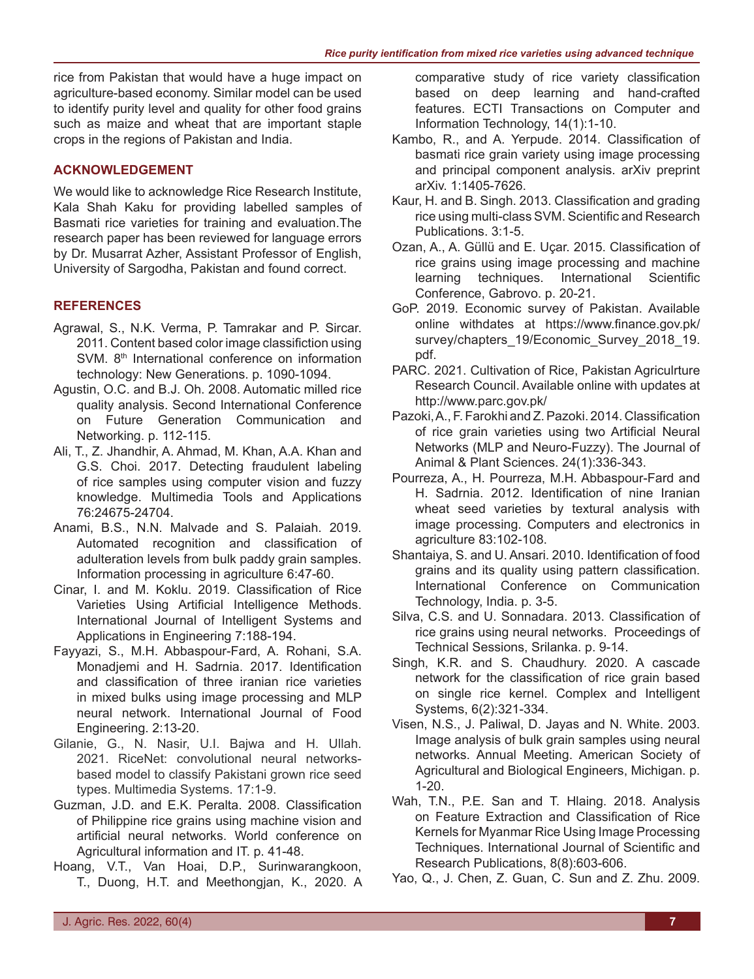rice from Pakistan that would have a huge impact on agriculture-based economy. Similar model can be used to identify purity level and quality for other food grains such as maize and wheat that are important staple crops in the regions of Pakistan and India.

# **ACKNOWLEDGEMENT**

We would like to acknowledge Rice Research Institute, Kala Shah Kaku for providing labelled samples of Basmati rice varieties for training and evaluation.The research paper has been reviewed for language errors by Dr. Musarrat Azher, Assistant Professor of English, University of Sargodha, Pakistan and found correct.

## **REFERENCES**

- Agrawal, S., N.K. Verma, P. Tamrakar and P. Sircar. 2011. Content based color image classifiction using SVM. 8<sup>th</sup> International conference on information technology: New Generations. p. 1090-1094.
- Agustin, O.C. and B.J. Oh. 2008. Automatic milled rice quality analysis. Second International Conference on Future Generation Communication and Networking. p. 112-115.
- Ali, T., Z. Jhandhir, A. Ahmad, M. Khan, A.A. Khan and G.S. Choi. 2017. Detecting fraudulent labeling of rice samples using computer vision and fuzzy knowledge. Multimedia Tools and Applications 76:24675-24704.
- Anami, B.S., N.N. Malvade and S. Palaiah. 2019. Automated recognition and classification of adulteration levels from bulk paddy grain samples. Information processing in agriculture 6:47-60.
- Cinar, I. and M. Koklu. 2019. Classification of Rice Varieties Using Artificial Intelligence Methods. International Journal of Intelligent Systems and Applications in Engineering 7:188-194.
- Fayyazi, S., M.H. Abbaspour-Fard, A. Rohani, S.A. Monadjemi and H. Sadrnia. 2017. Identification and classification of three iranian rice varieties in mixed bulks using image processing and MLP neural network. International Journal of Food Engineering. 2:13-20.
- Gilanie, G., N. Nasir, U.I. Bajwa and H. Ullah. 2021. RiceNet: convolutional neural networksbased model to classify Pakistani grown rice seed types. Multimedia Systems. 17:1-9.
- Guzman, J.D. and E.K. Peralta. 2008. Classification of Philippine rice grains using machine vision and artificial neural networks. World conference on Agricultural information and IT. p. 41-48.
- Hoang, V.T., Van Hoai, D.P., Surinwarangkoon, T., Duong, H.T. and Meethongjan, K., 2020. A

comparative study of rice variety classification based on deep learning and hand-crafted features. ECTI Transactions on Computer and Information Technology, 14(1):1-10.

- Kambo, R., and A. Yerpude. 2014. Classification of basmati rice grain variety using image processing and principal component analysis. arXiv preprint arXiv. 1:1405-7626.
- Kaur, H. and B. Singh. 2013. Classification and grading rice using multi-class SVM. Scientific and Research Publications. 3:1-5.
- Ozan, A., A. Güllü and E. Uçar. 2015. Classification of rice grains using image processing and machine learning techniques. International Scientific Conference, Gabrovo. p. 20-21.
- GoP. 2019. Economic survey of Pakistan. Available online withdates at https://www.finance.gov.pk/ survey/chapters\_19/Economic\_Survey\_2018\_19. pdf.
- PARC. 2021. Cultivation of Rice, Pakistan Agriculrture Research Council. Available online with updates at http://www.parc.gov.pk/
- Pazoki, A., F. Farokhi and Z. Pazoki. 2014. Classification of rice grain varieties using two Artificial Neural Networks (MLP and Neuro-Fuzzy). The Journal of Animal & Plant Sciences. 24(1):336-343.
- Pourreza, A., H. Pourreza, M.H. Abbaspour-Fard and H. Sadrnia. 2012. Identification of nine Iranian wheat seed varieties by textural analysis with image processing. Computers and electronics in agriculture 83:102-108.
- Shantaiya, S. and U. Ansari. 2010. Identification of food grains and its quality using pattern classification. International Conference on Communication Technology, India. p. 3-5.
- Silva, C.S. and U. Sonnadara. 2013. Classification of rice grains using neural networks. Proceedings of Technical Sessions, Srilanka. p. 9-14.
- Singh, K.R. and S. Chaudhury. 2020. A cascade network for the classification of rice grain based on single rice kernel. Complex and Intelligent Systems, 6(2):321-334.
- Visen, N.S., J. Paliwal, D. Jayas and N. White. 2003. Image analysis of bulk grain samples using neural networks. Annual Meeting. American Society of Agricultural and Biological Engineers, Michigan. p. 1-20.
- Wah, T.N., P.E. San and T. Hlaing. 2018. Analysis on Feature Extraction and Classification of Rice Kernels for Myanmar Rice Using Image Processing Techniques. International Journal of Scientific and Research Publications, 8(8):603-606.
- Yao, Q., J. Chen, Z. Guan, C. Sun and Z. Zhu. 2009.